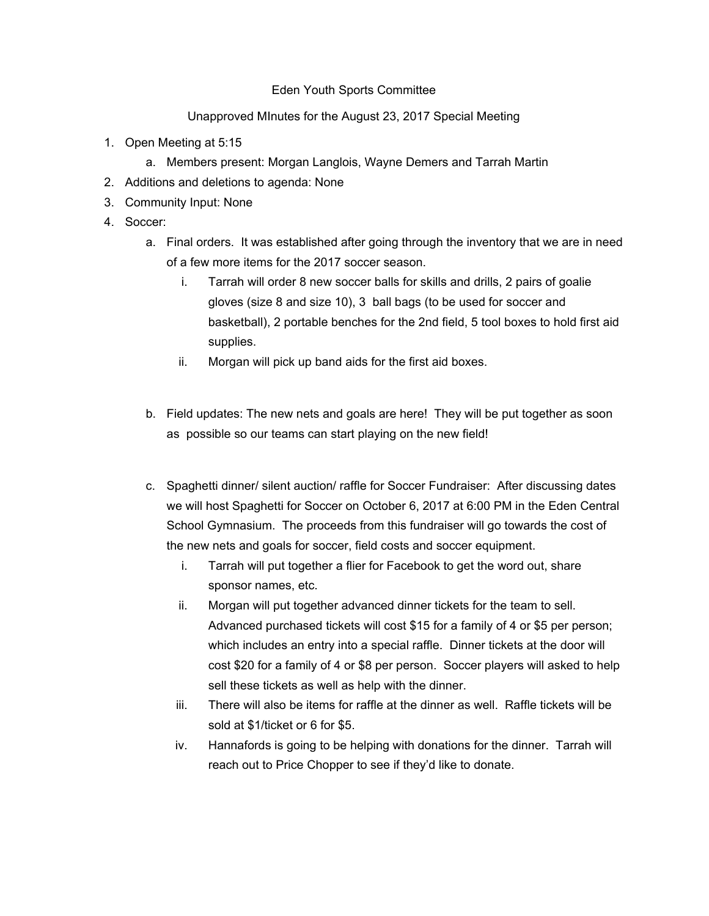## Eden Youth Sports Committee

## Unapproved MInutes for the August 23, 2017 Special Meeting

- 1. Open Meeting at 5:15
	- a. Members present: Morgan Langlois, Wayne Demers and Tarrah Martin
- 2. Additions and deletions to agenda: None
- 3. Community Input: None
- 4. Soccer:
	- a. Final orders. It was established after going through the inventory that we are in need of a few more items for the 2017 soccer season.
		- i. Tarrah will order 8 new soccer balls for skills and drills, 2 pairs of goalie gloves (size 8 and size 10), 3 ball bags (to be used for soccer and basketball), 2 portable benches for the 2nd field, 5 tool boxes to hold first aid supplies.
		- ii. Morgan will pick up band aids for the first aid boxes.
	- b. Field updates: The new nets and goals are here! They will be put together as soon as possible so our teams can start playing on the new field!
	- c. Spaghetti dinner/ silent auction/ raffle for Soccer Fundraiser: After discussing dates we will host Spaghetti for Soccer on October 6, 2017 at 6:00 PM in the Eden Central School Gymnasium. The proceeds from this fundraiser will go towards the cost of the new nets and goals for soccer, field costs and soccer equipment.
		- i. Tarrah will put together a flier for Facebook to get the word out, share sponsor names, etc.
		- ii. Morgan will put together advanced dinner tickets for the team to sell. Advanced purchased tickets will cost \$15 for a family of 4 or \$5 per person; which includes an entry into a special raffle. Dinner tickets at the door will cost \$20 for a family of 4 or \$8 per person. Soccer players will asked to help sell these tickets as well as help with the dinner.
		- iii. There will also be items for raffle at the dinner as well. Raffle tickets will be sold at \$1/ticket or 6 for \$5.
		- iv. Hannafords is going to be helping with donations for the dinner. Tarrah will reach out to Price Chopper to see if they'd like to donate.